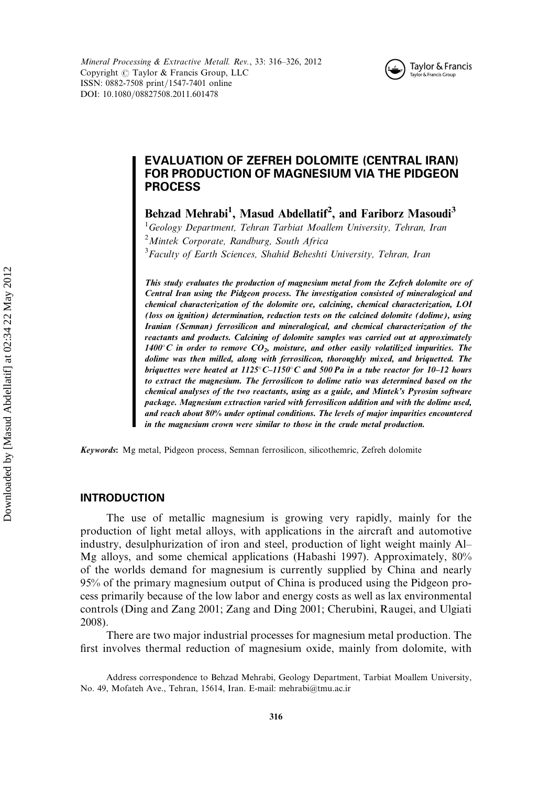Mineral Processing & Extractive Metall. Rev., 33: 316–326, 2012 Copyright  $\circled{c}$  Taylor & Francis Group, LLC ISSN: 0882-7508 print/1547-7401 online DOI: 10.1080/08827508.2011.601478



# EVALUATION OF ZEFREH DOLOMITE (CENTRAL IRAN) FOR PRODUCTION OF MAGNESIUM VIA THE PIDGEON PROCESS

Behzad Mehrabi<sup>1</sup>, Masud Abdellatif<sup>2</sup>, and Fariborz Masoudi<sup>3</sup>

<sup>1</sup>Geology Department, Tehran Tarbiat Moallem University, Tehran, Iran <sup>2</sup> Mintek Corporate, Randburg, South Africa <sup>3</sup> Faculty of Earth Sciences, Shahid Beheshti University, Tehran, Iran

This study evaluates the production of magnesium metal from the Zefreh dolomite ore of Central Iran using the Pidgeon process. The investigation consisted of mineralogical and chemical characterization of the dolomite ore, calcining, chemical characterization, LOI (loss on ignition) determination, reduction tests on the calcined dolomite (dolime), using Iranian (Semnan) ferrosilicon and mineralogical, and chemical characterization of the reactants and products. Calcining of dolomite samples was carried out at approximately 1400 $\degree$ C in order to remove  $CO_2$ , moisture, and other easily volatilized impurities. The dolime was then milled, along with ferrosilicon, thoroughly mixed, and briquetted. The briquettes were heated at  $1125^{\circ}$ C– $1150^{\circ}$ C and 500 Pa in a tube reactor for 10–12 hours to extract the magnesium. The ferrosilicon to dolime ratio was determined based on the chemical analyses of the two reactants, using as a guide, and Mintek's Pyrosim software package. Magnesium extraction varied with ferrosilicon addition and with the dolime used, and reach about 80% under optimal conditions. The levels of major impurities encountered in the magnesium crown were similar to those in the crude metal production.

Keywords: Mg metal, Pidgeon process, Semnan ferrosilicon, silicothemric, Zefreh dolomite

## INTRODUCTION

The use of metallic magnesium is growing very rapidly, mainly for the production of light metal alloys, with applications in the aircraft and automotive industry, desulphurization of iron and steel, production of light weight mainly Al– Mg alloys, and some chemical applications (Habashi 1997). Approximately, 80% of the worlds demand for magnesium is currently supplied by China and nearly 95% of the primary magnesium output of China is produced using the Pidgeon process primarily because of the low labor and energy costs as well as lax environmental controls (Ding and Zang 2001; Zang and Ding 2001; Cherubini, Raugei, and Ulgiati 2008).

There are two major industrial processes for magnesium metal production. The first involves thermal reduction of magnesium oxide, mainly from dolomite, with

Address correspondence to Behzad Mehrabi, Geology Department, Tarbiat Moallem University, No. 49, Mofateh Ave., Tehran, 15614, Iran. E-mail: mehrabi@tmu.ac.ir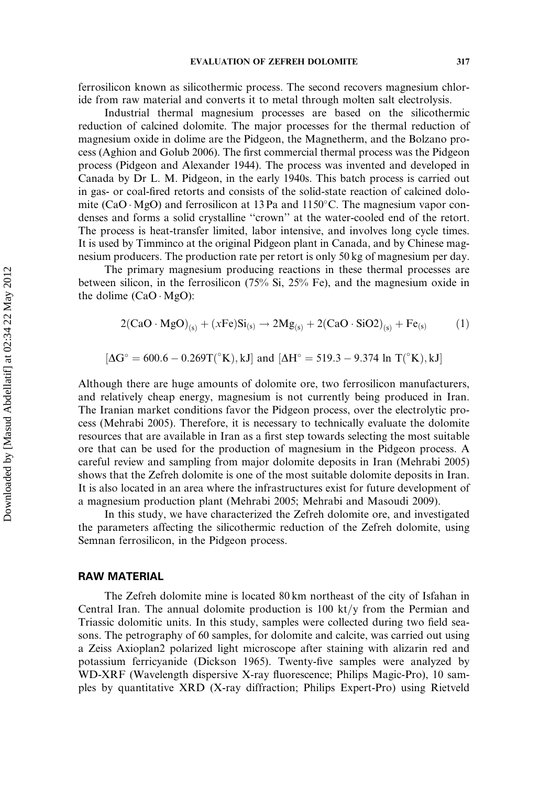ferrosilicon known as silicothermic process. The second recovers magnesium chloride from raw material and converts it to metal through molten salt electrolysis.

Industrial thermal magnesium processes are based on the silicothermic reduction of calcined dolomite. The major processes for the thermal reduction of magnesium oxide in dolime are the Pidgeon, the Magnetherm, and the Bolzano process (Aghion and Golub 2006). The first commercial thermal process was the Pidgeon process (Pidgeon and Alexander 1944). The process was invented and developed in Canada by Dr L. M. Pidgeon, in the early 1940s. This batch process is carried out in gas- or coal-fired retorts and consists of the solid-state reaction of calcined dolomite (CaO · MgO) and ferrosilicon at 13 Pa and 1150°C. The magnesium vapor condenses and forms a solid crystalline ''crown'' at the water-cooled end of the retort. The process is heat-transfer limited, labor intensive, and involves long cycle times. It is used by Timminco at the original Pidgeon plant in Canada, and by Chinese magnesium producers. The production rate per retort is only 50 kg of magnesium per day.

The primary magnesium producing reactions in these thermal processes are between silicon, in the ferrosilicon (75% Si, 25% Fe), and the magnesium oxide in the dolime  $(CaO \cdot MgO)$ :

$$
2(CaO \cdot MgO)_{(s)} + (xFe)Si_{(s)} \rightarrow 2Mg_{(s)} + 2(CaO \cdot SiO2)_{(s)} + Fe_{(s)}
$$
 (1)

$$
[\Delta G^\circ=600.6-0.269T(^{\circ}K),kJ] \text{ and } [\Delta H^\circ=519.3-9.374 \text{ ln }T(^{\circ}K),kJ]
$$

Although there are huge amounts of dolomite ore, two ferrosilicon manufacturers, and relatively cheap energy, magnesium is not currently being produced in Iran. The Iranian market conditions favor the Pidgeon process, over the electrolytic process (Mehrabi 2005). Therefore, it is necessary to technically evaluate the dolomite resources that are available in Iran as a first step towards selecting the most suitable ore that can be used for the production of magnesium in the Pidgeon process. A careful review and sampling from major dolomite deposits in Iran (Mehrabi 2005) shows that the Zefreh dolomite is one of the most suitable dolomite deposits in Iran. It is also located in an area where the infrastructures exist for future development of a magnesium production plant (Mehrabi 2005; Mehrabi and Masoudi 2009).

In this study, we have characterized the Zefreh dolomite ore, and investigated the parameters affecting the silicothermic reduction of the Zefreh dolomite, using Semnan ferrosilicon, in the Pidgeon process.

## RAW MATERIAL

The Zefreh dolomite mine is located 80 km northeast of the city of Isfahan in Central Iran. The annual dolomite production is 100 kt/y from the Permian and Triassic dolomitic units. In this study, samples were collected during two field seasons. The petrography of 60 samples, for dolomite and calcite, was carried out using a Zeiss Axioplan2 polarized light microscope after staining with alizarin red and potassium ferricyanide (Dickson 1965). Twenty-five samples were analyzed by WD-XRF (Wavelength dispersive X-ray fluorescence; Philips Magic-Pro), 10 samples by quantitative XRD (X-ray diffraction; Philips Expert-Pro) using Rietveld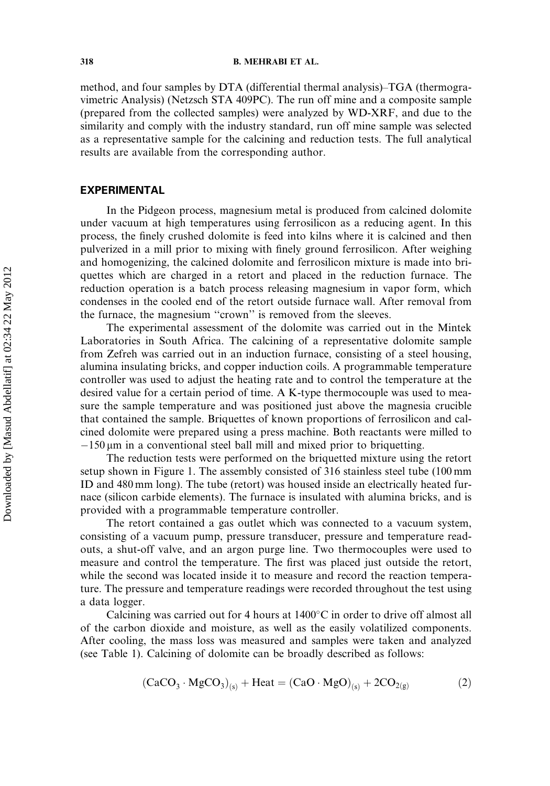method, and four samples by DTA (differential thermal analysis)–TGA (thermogravimetric Analysis) (Netzsch STA 409PC). The run off mine and a composite sample (prepared from the collected samples) were analyzed by WD-XRF, and due to the similarity and comply with the industry standard, run off mine sample was selected as a representative sample for the calcining and reduction tests. The full analytical results are available from the corresponding author.

# EXPERIMENTAL

In the Pidgeon process, magnesium metal is produced from calcined dolomite under vacuum at high temperatures using ferrosilicon as a reducing agent. In this process, the finely crushed dolomite is feed into kilns where it is calcined and then pulverized in a mill prior to mixing with finely ground ferrosilicon. After weighing and homogenizing, the calcined dolomite and ferrosilicon mixture is made into briquettes which are charged in a retort and placed in the reduction furnace. The reduction operation is a batch process releasing magnesium in vapor form, which condenses in the cooled end of the retort outside furnace wall. After removal from the furnace, the magnesium "crown" is removed from the sleeves.

The experimental assessment of the dolomite was carried out in the Mintek Laboratories in South Africa. The calcining of a representative dolomite sample from Zefreh was carried out in an induction furnace, consisting of a steel housing, alumina insulating bricks, and copper induction coils. A programmable temperature controller was used to adjust the heating rate and to control the temperature at the desired value for a certain period of time. A K-type thermocouple was used to measure the sample temperature and was positioned just above the magnesia crucible that contained the sample. Briquettes of known proportions of ferrosilicon and calcined dolomite were prepared using a press machine. Both reactants were milled to  $-150 \,\mu m$  in a conventional steel ball mill and mixed prior to briquetting.

The reduction tests were performed on the briquetted mixture using the retort setup shown in Figure 1. The assembly consisted of 316 stainless steel tube (100 mm ID and 480 mm long). The tube (retort) was housed inside an electrically heated furnace (silicon carbide elements). The furnace is insulated with alumina bricks, and is provided with a programmable temperature controller.

The retort contained a gas outlet which was connected to a vacuum system, consisting of a vacuum pump, pressure transducer, pressure and temperature readouts, a shut-off valve, and an argon purge line. Two thermocouples were used to measure and control the temperature. The first was placed just outside the retort, while the second was located inside it to measure and record the reaction temperature. The pressure and temperature readings were recorded throughout the test using a data logger.

Calcining was carried out for 4 hours at  $1400^{\circ}$ C in order to drive off almost all of the carbon dioxide and moisture, as well as the easily volatilized components. After cooling, the mass loss was measured and samples were taken and analyzed (see Table 1). Calcining of dolomite can be broadly described as follows:

$$
(\text{CaCO}_3 \cdot \text{MgCO}_3)_{(s)} + \text{Heat} = (\text{CaO} \cdot \text{MgO})_{(s)} + 2\text{CO}_{2(g)} \tag{2}
$$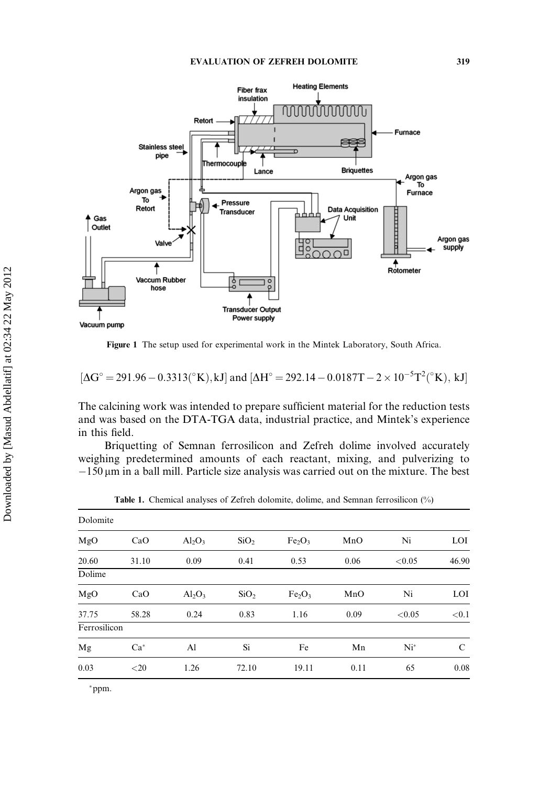

Figure 1 The setup used for experimental work in the Mintek Laboratory, South Africa.

$$
[\Delta G^{\circ} = 291.96 - 0.3313({}^{\circ}K), kJ]
$$
 and  $[\Delta H^{\circ} = 292.14 - 0.0187T - 2 \times 10^{-5}T^{2}({}^{\circ}K), kJ]$ 

The calcining work was intended to prepare sufficient material for the reduction tests and was based on the DTA-TGA data, industrial practice, and Mintek's experience in this field.

Briquetting of Semnan ferrosilicon and Zefreh dolime involved accurately weighing predetermined amounts of each reactant, mixing, and pulverizing to  $-150 \,\mu m$  in a ball mill. Particle size analysis was carried out on the mixture. The best

| Dolomite     |         |           |                  |                                |      |        |       |  |
|--------------|---------|-----------|------------------|--------------------------------|------|--------|-------|--|
| MgO          | CaO     | $Al_2O_3$ | SiO <sub>2</sub> | Fe <sub>2</sub> O <sub>3</sub> | MnO  | Ni     | LOI   |  |
| 20.60        | 31.10   | 0.09      | 0.41             | 0.53                           | 0.06 | < 0.05 | 46.90 |  |
| Dolime       |         |           |                  |                                |      |        |       |  |
| MgO          | CaO     | $Al_2O_3$ | SiO <sub>2</sub> | Fe <sub>2</sub> O <sub>3</sub> | MnO  | Ni     | LOI   |  |
| 37.75        | 58.28   | 0.24      | 0.83             | 1.16                           | 0.09 | < 0.05 | < 0.1 |  |
| Ferrosilicon |         |           |                  |                                |      |        |       |  |
| Mg           | $Ca*$   | Al        | Si               | Fe                             | Mn   | $Ni^*$ | C     |  |
| 0.03         | ${<}20$ | 1.26      | 72.10            | 19.11                          | 0.11 | 65     | 0.08  |  |

Table 1. Chemical analyses of Zefreh dolomite, dolime, and Semnan ferrosilicon (%)

ppm.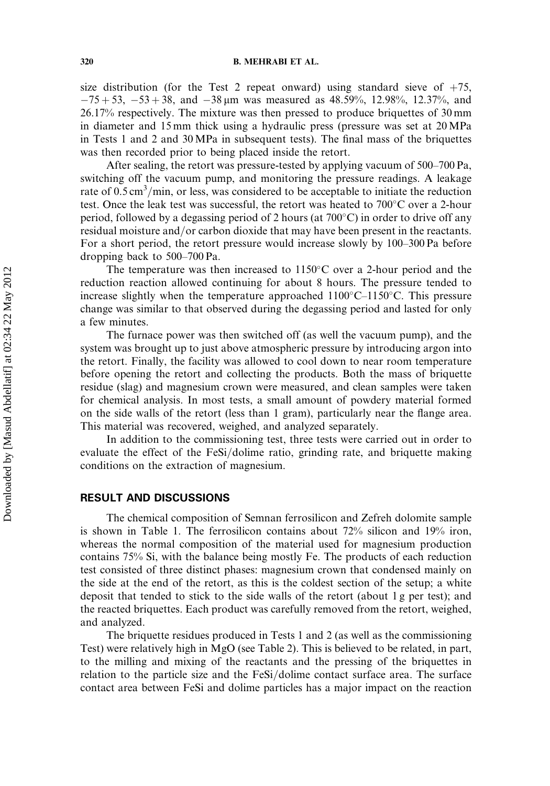size distribution (for the Test 2 repeat onward) using standard sieve of  $+75$ ,  $-75 + 53$ ,  $-53 + 38$ , and  $-38 \mu m$  was measured as 48.59%, 12.98%, 12.37%, and 26.17% respectively. The mixture was then pressed to produce briquettes of 30 mm in diameter and 15 mm thick using a hydraulic press (pressure was set at 20 MPa in Tests 1 and 2 and 30 MPa in subsequent tests). The final mass of the briquettes was then recorded prior to being placed inside the retort.

After sealing, the retort was pressure-tested by applying vacuum of 500–700 Pa, switching off the vacuum pump, and monitoring the pressure readings. A leakage rate of  $0.5 \text{ cm}^3/\text{min}$ , or less, was considered to be acceptable to initiate the reduction test. Once the leak test was successful, the retort was heated to  $700^{\circ}$ C over a 2-hour period, followed by a degassing period of 2 hours (at  $700^{\circ}$ C) in order to drive off any residual moisture and/or carbon dioxide that may have been present in the reactants. For a short period, the retort pressure would increase slowly by 100–300 Pa before dropping back to 500–700 Pa.

The temperature was then increased to  $1150^{\circ}$ C over a 2-hour period and the reduction reaction allowed continuing for about 8 hours. The pressure tended to increase slightly when the temperature approached  $1100^{\circ}$ C– $1150^{\circ}$ C. This pressure change was similar to that observed during the degassing period and lasted for only a few minutes.

The furnace power was then switched off (as well the vacuum pump), and the system was brought up to just above atmospheric pressure by introducing argon into the retort. Finally, the facility was allowed to cool down to near room temperature before opening the retort and collecting the products. Both the mass of briquette residue (slag) and magnesium crown were measured, and clean samples were taken for chemical analysis. In most tests, a small amount of powdery material formed on the side walls of the retort (less than 1 gram), particularly near the flange area. This material was recovered, weighed, and analyzed separately.

In addition to the commissioning test, three tests were carried out in order to evaluate the effect of the  $FeSi/dolime$  ratio, grinding rate, and briquette making conditions on the extraction of magnesium.

### RESULT AND DISCUSSIONS

The chemical composition of Semnan ferrosilicon and Zefreh dolomite sample is shown in Table 1. The ferrosilicon contains about 72% silicon and 19% iron, whereas the normal composition of the material used for magnesium production contains 75% Si, with the balance being mostly Fe. The products of each reduction test consisted of three distinct phases: magnesium crown that condensed mainly on the side at the end of the retort, as this is the coldest section of the setup; a white deposit that tended to stick to the side walls of the retort (about 1 g per test); and the reacted briquettes. Each product was carefully removed from the retort, weighed, and analyzed.

The briquette residues produced in Tests 1 and 2 (as well as the commissioning Test) were relatively high in MgO (see Table 2). This is believed to be related, in part, to the milling and mixing of the reactants and the pressing of the briquettes in relation to the particle size and the  $FeSi/dolime$  contact surface area. The surface contact area between FeSi and dolime particles has a major impact on the reaction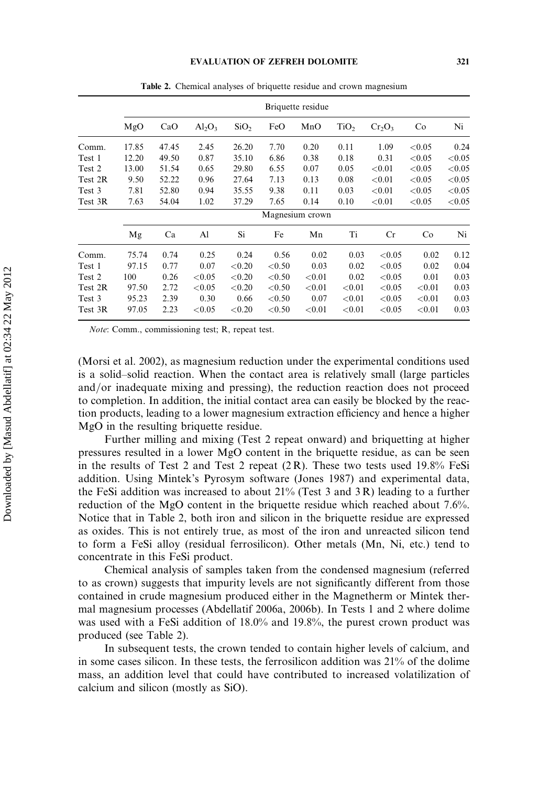|         |       | Briquette residue |           |                  |           |           |                  |           |           |           |  |
|---------|-------|-------------------|-----------|------------------|-----------|-----------|------------------|-----------|-----------|-----------|--|
|         | MgO   | CaO               | $Al_2O_3$ | SiO <sub>2</sub> | FeO       | MnO       | TiO <sub>2</sub> | $Cr_2O_3$ | Co        | Ni        |  |
| Comm.   | 17.85 | 47.45             | 2.45      | 26.20            | 7.70      | 0.20      | 0.11             | 1.09      | ${<}0.05$ | 0.24      |  |
| Test 1  | 12.20 | 49.50             | 0.87      | 35.10            | 6.86      | 0.38      | 0.18             | 0.31      | ${<}0.05$ | < 0.05    |  |
| Test 2  | 13.00 | 51.54             | 0.65      | 29.80            | 6.55      | 0.07      | 0.05             | < 0.01    | < 0.05    | < 0.05    |  |
| Test 2R | 9.50  | 52.22             | 0.96      | 27.64            | 7.13      | 0.13      | 0.08             | ${<}0.01$ | ${<}0.05$ | ${<}0.05$ |  |
| Test 3  | 7.81  | 52.80             | 0.94      | 35.55            | 9.38      | 0.11      | 0.03             | ${<}0.01$ | ${<}0.05$ | ${<}0.05$ |  |
| Test 3R | 7.63  | 54.04             | 1.02      | 37.29            | 7.65      | 0.14      | 0.10             | ${<}0.01$ | ${<}0.05$ | ${<}0.05$ |  |
|         |       | Magnesium crown   |           |                  |           |           |                  |           |           |           |  |
|         | Mg    | Ca                | Al        | Si               | Fe        | Mn        | Ti               | Cr        | Co        | Ni        |  |
| Comm.   | 75.74 | 0.74              | 0.25      | 0.24             | 0.56      | 0.02      | 0.03             | < 0.05    | 0.02      | 0.12      |  |
| Test 1  | 97.15 | 0.77              | 0.07      | ${<}0.20$        | ${<}0.50$ | 0.03      | 0.02             | < 0.05    | 0.02      | 0.04      |  |
| Test 2  | 100   | 0.26              | ${<}0.05$ | ${<}0.20$        | ${<}0.50$ | ${<}0.01$ | 0.02             | < 0.05    | 0.01      | 0.03      |  |
| Test 2R | 97.50 | 2.72              | ${<}0.05$ | ${<}0.20$        | ${<}0.50$ | ${<}0.01$ | ${<}0.01$        | ${<}0.05$ | ${<}0.01$ | 0.03      |  |
| Test 3  | 95.23 | 2.39              | 0.30      | 0.66             | ${<}0.50$ | 0.07      | < 0.01           | ${<}0.05$ | ${<}0.01$ | 0.03      |  |
| Test 3R | 97.05 | 2.23              | ${<}0.05$ | < 0.20           | ${<}0.50$ | ${<}0.01$ | ${<}0.01$        | ${<}0.05$ | < 0.01    | 0.03      |  |

Table 2. Chemical analyses of briquette residue and crown magnesium

Note: Comm., commissioning test; R, repeat test.

(Morsi et al. 2002), as magnesium reduction under the experimental conditions used is a solid–solid reaction. When the contact area is relatively small (large particles and/or inadequate mixing and pressing), the reduction reaction does not proceed to completion. In addition, the initial contact area can easily be blocked by the reaction products, leading to a lower magnesium extraction efficiency and hence a higher MgO in the resulting briquette residue.

Further milling and mixing (Test 2 repeat onward) and briquetting at higher pressures resulted in a lower MgO content in the briquette residue, as can be seen in the results of Test 2 and Test 2 repeat  $(2 \text{ R})$ . These two tests used 19.8% FeSi addition. Using Mintek's Pyrosym software (Jones 1987) and experimental data, the FeSi addition was increased to about 21% (Test 3 and 3 R) leading to a further reduction of the MgO content in the briquette residue which reached about 7.6%. Notice that in Table 2, both iron and silicon in the briquette residue are expressed as oxides. This is not entirely true, as most of the iron and unreacted silicon tend to form a FeSi alloy (residual ferrosilicon). Other metals (Mn, Ni, etc.) tend to concentrate in this FeSi product.

Chemical analysis of samples taken from the condensed magnesium (referred to as crown) suggests that impurity levels are not significantly different from those contained in crude magnesium produced either in the Magnetherm or Mintek thermal magnesium processes (Abdellatif 2006a, 2006b). In Tests 1 and 2 where dolime was used with a FeSi addition of 18.0% and 19.8%, the purest crown product was produced (see Table 2).

In subsequent tests, the crown tended to contain higher levels of calcium, and in some cases silicon. In these tests, the ferrosilicon addition was  $21\%$  of the dolime mass, an addition level that could have contributed to increased volatilization of calcium and silicon (mostly as SiO).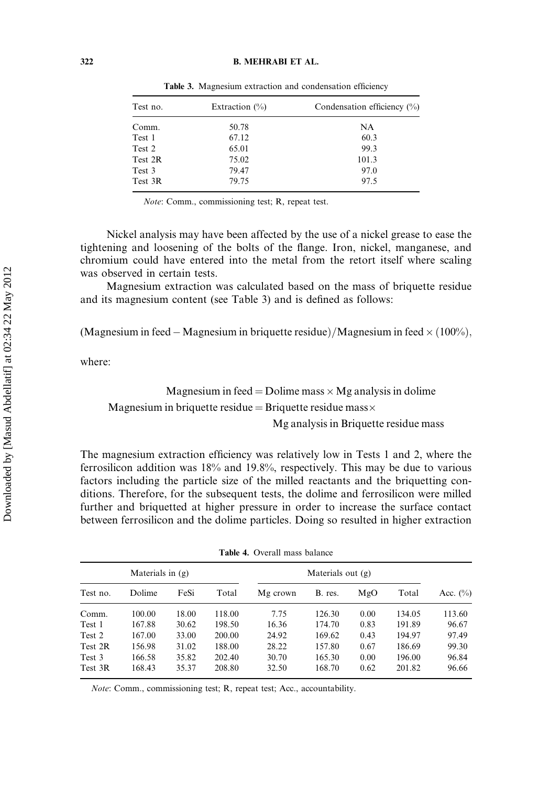#### 322 B. MEHRABI ET AL.

| Test no. | Extraction $(\%)$ | Condensation efficiency $(\%)$ |  |  |  |  |
|----------|-------------------|--------------------------------|--|--|--|--|
| Comm.    | 50.78             | NA                             |  |  |  |  |
| Test 1   | 67.12             | 60.3                           |  |  |  |  |
| Test 2   | 65.01             | 99.3                           |  |  |  |  |
| Test 2R  | 75.02             | 101.3                          |  |  |  |  |
| Test 3   | 79.47             | 97.0                           |  |  |  |  |
| Test 3R  | 79.75             | 97.5                           |  |  |  |  |

Table 3. Magnesium extraction and condensation efficiency

Note: Comm., commissioning test; R, repeat test.

Nickel analysis may have been affected by the use of a nickel grease to ease the tightening and loosening of the bolts of the flange. Iron, nickel, manganese, and chromium could have entered into the metal from the retort itself where scaling was observed in certain tests.

Magnesium extraction was calculated based on the mass of briquette residue and its magnesium content (see Table 3) and is defined as follows:

(Magnesium in feed – Magnesium in briquette residue)/Magnesium in feed  $\times$  (100%),

where:

# Magnesium in feed = Dolime mass  $\times$  Mg analysis in dolime

Magnesium in briquette residue = Briquette residue mass $\times$ 

Mg analysis in Briquette residue mass

The magnesium extraction efficiency was relatively low in Tests 1 and 2, where the ferrosilicon addition was 18% and 19.8%, respectively. This may be due to various factors including the particle size of the milled reactants and the briquetting conditions. Therefore, for the subsequent tests, the dolime and ferrosilicon were milled further and briquetted at higher pressure in order to increase the surface contact between ferrosilicon and the dolime particles. Doing so resulted in higher extraction

| Materials in $(g)$ |        |       |        | Materials out $(g)$ |         |      |        |             |
|--------------------|--------|-------|--------|---------------------|---------|------|--------|-------------|
| Test no.           | Dolime | FeSi  | Total  | Mg crown            | B. res. | MgO  | Total  | Acc. $(\%)$ |
| Comm.              | 100.00 | 18.00 | 118.00 | 7.75                | 126.30  | 0.00 | 134.05 | 113.60      |
| Test 1             | 167.88 | 30.62 | 198.50 | 16.36               | 174.70  | 0.83 | 191.89 | 96.67       |
| Test 2             | 167.00 | 33.00 | 200.00 | 24.92               | 169.62  | 0.43 | 194.97 | 97.49       |
| Test 2R            | 156.98 | 31.02 | 188.00 | 28.22               | 157.80  | 0.67 | 186.69 | 99.30       |
| Test 3             | 166.58 | 35.82 | 202.40 | 30.70               | 165.30  | 0.00 | 196.00 | 96.84       |
| Test 3R            | 168.43 | 35.37 | 208.80 | 32.50               | 168.70  | 0.62 | 201.82 | 96.66       |

Table 4. Overall mass balance

Note: Comm., commissioning test; R, repeat test; Acc., accountability.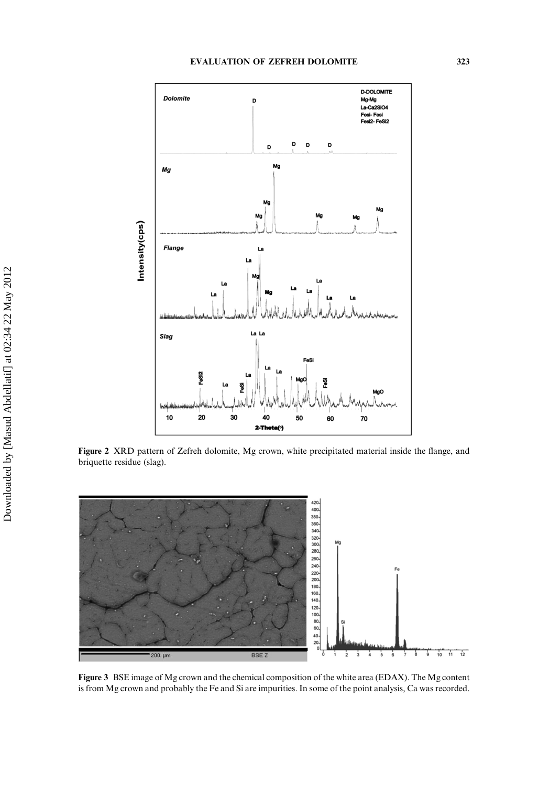

Figure 2 XRD pattern of Zefreh dolomite, Mg crown, white precipitated material inside the flange, and briquette residue (slag).



Figure 3 BSE image of Mg crown and the chemical composition of the white area (EDAX). The Mg content is from Mg crown and probably the Fe and Si are impurities. In some of the point analysis, Ca was recorded.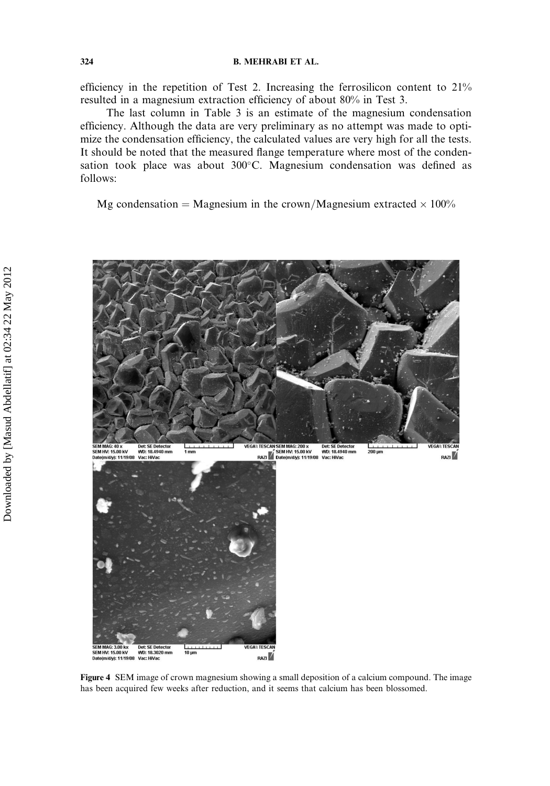### 324 B. MEHRABI ET AL.

efficiency in the repetition of Test 2. Increasing the ferrosilicon content to 21% resulted in a magnesium extraction efficiency of about 80% in Test 3.

The last column in Table 3 is an estimate of the magnesium condensation efficiency. Although the data are very preliminary as no attempt was made to optimize the condensation efficiency, the calculated values are very high for all the tests. It should be noted that the measured flange temperature where most of the condensation took place was about  $300^{\circ}$ C. Magnesium condensation was defined as follows:

Mg condensation = Magnesium in the crown/Magnesium extracted  $\times 100\%$ 

![](_page_8_Picture_4.jpeg)

Figure 4 SEM image of crown magnesium showing a small deposition of a calcium compound. The image has been acquired few weeks after reduction, and it seems that calcium has been blossomed.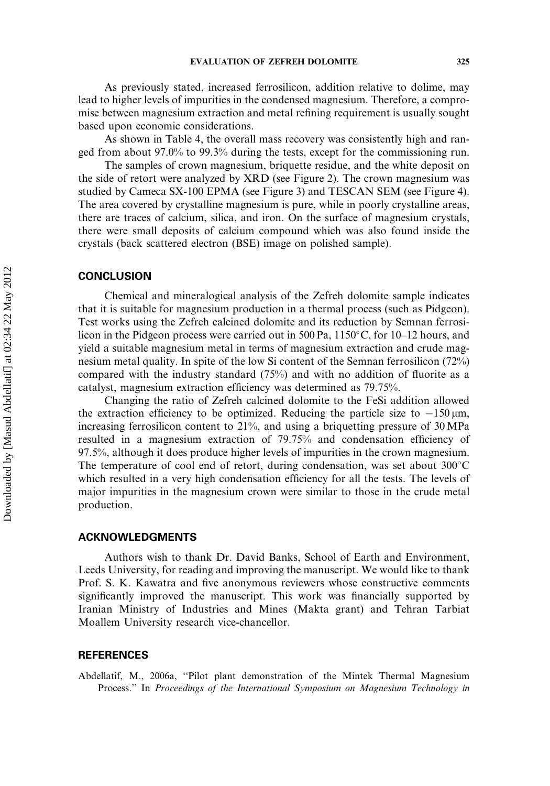As previously stated, increased ferrosilicon, addition relative to dolime, may lead to higher levels of impurities in the condensed magnesium. Therefore, a compromise between magnesium extraction and metal refining requirement is usually sought based upon economic considerations.

As shown in Table 4, the overall mass recovery was consistently high and ranged from about 97.0% to 99.3% during the tests, except for the commissioning run.

The samples of crown magnesium, briquette residue, and the white deposit on the side of retort were analyzed by XRD (see Figure 2). The crown magnesium was studied by Cameca SX-100 EPMA (see Figure 3) and TESCAN SEM (see Figure 4). The area covered by crystalline magnesium is pure, while in poorly crystalline areas, there are traces of calcium, silica, and iron. On the surface of magnesium crystals, there were small deposits of calcium compound which was also found inside the crystals (back scattered electron (BSE) image on polished sample).

## **CONCLUSION**

Chemical and mineralogical analysis of the Zefreh dolomite sample indicates that it is suitable for magnesium production in a thermal process (such as Pidgeon). Test works using the Zefreh calcined dolomite and its reduction by Semnan ferrosilicon in the Pidgeon process were carried out in 500 Pa,  $1150^{\circ}$ C, for 10–12 hours, and yield a suitable magnesium metal in terms of magnesium extraction and crude magnesium metal quality. In spite of the low Si content of the Semnan ferrosilicon (72%) compared with the industry standard (75%) and with no addition of fluorite as a catalyst, magnesium extraction efficiency was determined as 79.75%.

Changing the ratio of Zefreh calcined dolomite to the FeSi addition allowed the extraction efficiency to be optimized. Reducing the particle size to  $-150 \mu m$ , increasing ferrosilicon content to 21%, and using a briquetting pressure of 30 MPa resulted in a magnesium extraction of 79.75% and condensation efficiency of 97.5%, although it does produce higher levels of impurities in the crown magnesium. The temperature of cool end of retort, during condensation, was set about  $300^{\circ}$ C which resulted in a very high condensation efficiency for all the tests. The levels of major impurities in the magnesium crown were similar to those in the crude metal production.

### ACKNOWLEDGMENTS

Authors wish to thank Dr. David Banks, School of Earth and Environment, Leeds University, for reading and improving the manuscript. We would like to thank Prof. S. K. Kawatra and five anonymous reviewers whose constructive comments significantly improved the manuscript. This work was financially supported by Iranian Ministry of Industries and Mines (Makta grant) and Tehran Tarbiat Moallem University research vice-chancellor.

### REFERENCES

Abdellatif, M., 2006a, ''Pilot plant demonstration of the Mintek Thermal Magnesium Process." In Proceedings of the International Symposium on Magnesium Technology in